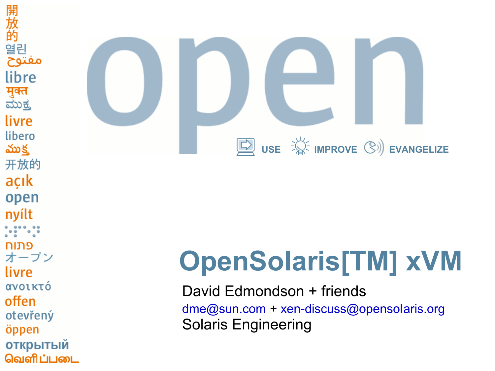開 :放的 열린 مفتوح libre मुक्त <u>ಮುಕ್ತ</u> livre libero ముక్త 开放的 açık open nyílt פתוח オープン livre ανοικτό offen otevřený öppen **ОТКРЫТЫЙ** வெளிப்படை



# **OpenSolaris[TM] xVM**

David Edmondson + friends [dme@sun.com](mailto:dme@sun.com) + [xen-discuss@opensolaris.org](mailto:xen-discuss@opensolaris.org) Solaris Engineering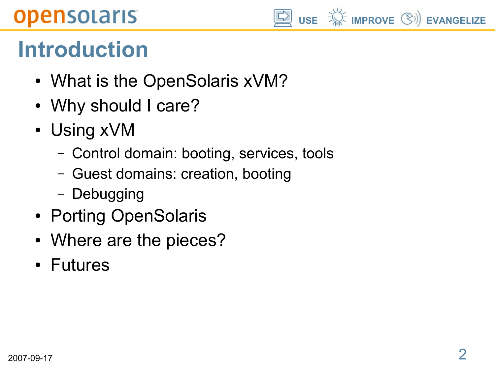

## **Introduction**

- What is the OpenSolaris xVM?
- Why should I care?
- Using xVM
	- Control domain: booting, services, tools
	- Guest domains: creation, booting
	- Debugging
- Porting OpenSolaris
- Where are the pieces?
- Futures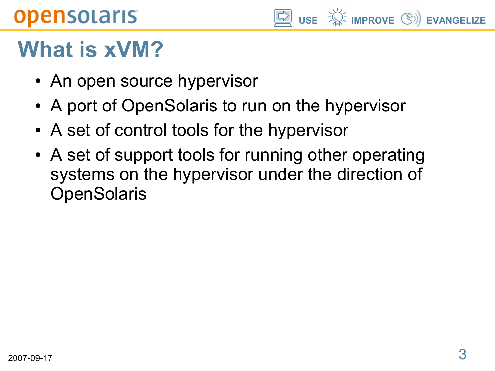

## **What is xVM?**

- An open source hypervisor
- A port of OpenSolaris to run on the hypervisor
- A set of control tools for the hypervisor
- A set of support tools for running other operating systems on the hypervisor under the direction of **OpenSolaris**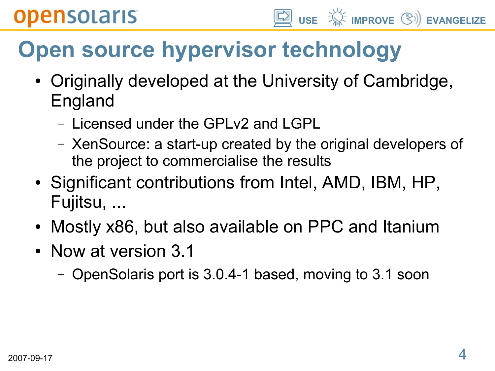# **Open source hypervisor technology**

- Originally developed at the University of Cambridge, England
	- Licensed under the GPLv2 and LGPL
	- XenSource: a start-up created by the original developers of the project to commercialise the results
- Significant contributions from Intel, AMD, IBM, HP, Fujitsu, ...
- Mostly x86, but also available on PPC and Itanium
- Now at version 3.1
	- OpenSolaris port is 3.0.4-1 based, moving to 3.1 soon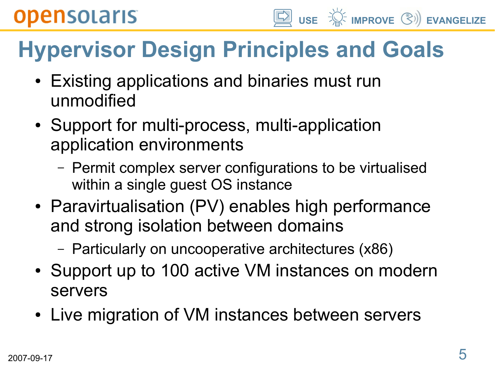

# **Hypervisor Design Principles and Goals**

- Existing applications and binaries must run unmodified
- Support for multi-process, multi-application application environments
	- Permit complex server configurations to be virtualised within a single guest OS instance
- Paravirtualisation (PV) enables high performance and strong isolation between domains
	- Particularly on uncooperative architectures (x86)
- Support up to 100 active VM instances on modern servers
- Live migration of VM instances between servers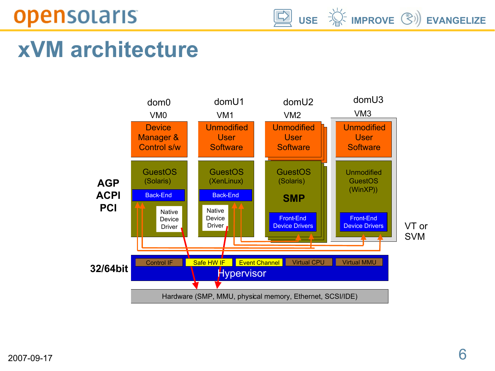**USE IMPROVE EVANGELIZE**

## **xVM architecture**

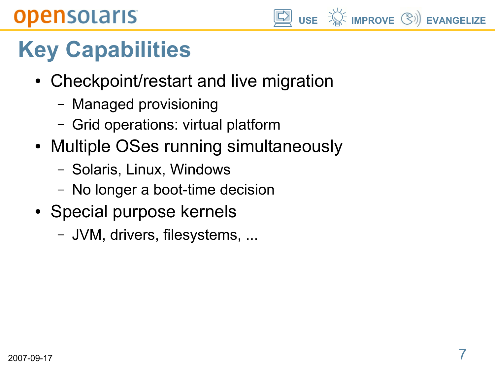

# **Key Capabilities**

- Checkpoint/restart and live migration
	- Managed provisioning
	- Grid operations: virtual platform
- Multiple OSes running simultaneously
	- Solaris, Linux, Windows
	- No longer a boot-time decision
- Special purpose kernels
	- JVM, drivers, filesystems, ...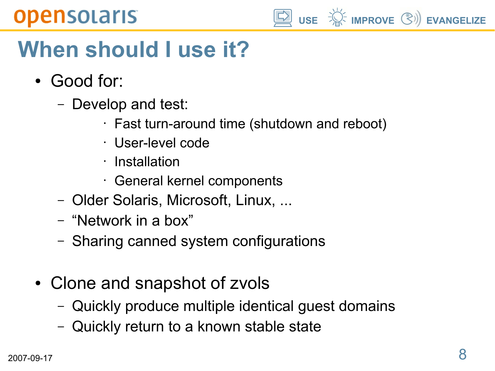

## **When should I use it?**

- Good for:
	- Develop and test:
		- Fast turn-around time (shutdown and reboot)
		- User-level code
		- Installation
		- General kernel components
	- Older Solaris, Microsoft, Linux, ...
	- "Network in a box"
	- Sharing canned system configurations
- Clone and snapshot of zvols
	- Quickly produce multiple identical guest domains
	- Quickly return to a known stable state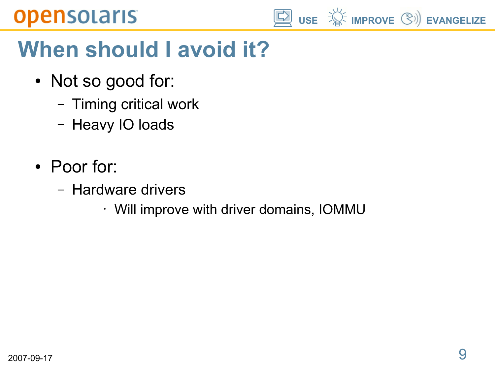

# **When should I avoid it?**

- Not so good for:
	- Timing critical work
	- Heavy IO loads
- Poor for:
	- Hardware drivers
		- Will improve with driver domains, IOMMU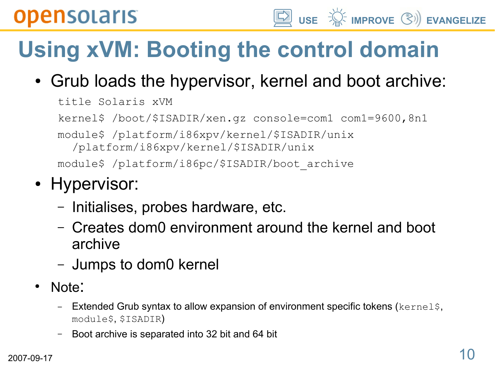# **Using xVM: Booting the control domain**

• Grub loads the hypervisor, kernel and boot archive:

**USE IMPROVE EVANGELIZE**

title Solaris xVM kernel\$ /boot/\$ISADIR/xen.gz console=com1 com1=9600,8n1 module\$ /platform/i86xpv/kernel/\$ISADIR/unix /platform/i86xpv/kernel/\$ISADIR/unix module\$ /platform/i86pc/\$ISADIR/boot\_archive

#### • Hypervisor:

- Initialises, probes hardware, etc.
- Creates dom0 environment around the kernel and boot archive
- Jumps to dom0 kernel
- Note:
	- Extended Grub syntax to allow expansion of environment specific tokens (kernels, module\$, \$ISADIR)
	- Boot archive is separated into 32 bit and 64 bit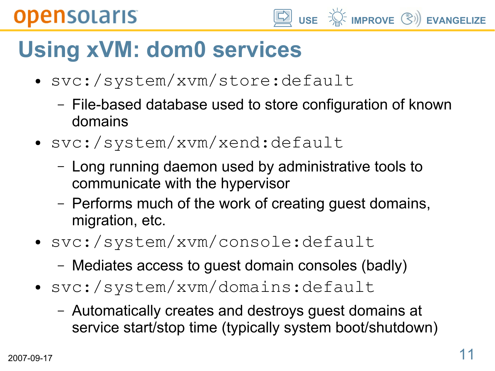## **Using xVM: dom0 services**

- svc:/system/xvm/store:default
	- File-based database used to store configuration of known domains

**USE IMPROVE EVANGELIZE**

- svc:/system/xvm/xend:default
	- Long running daemon used by administrative tools to communicate with the hypervisor
	- Performs much of the work of creating guest domains, migration, etc.
- svc:/system/xvm/console:default
	- Mediates access to guest domain consoles (badly)
- svc:/system/xvm/domains:default
	- Automatically creates and destroys guest domains at service start/stop time (typically system boot/shutdown)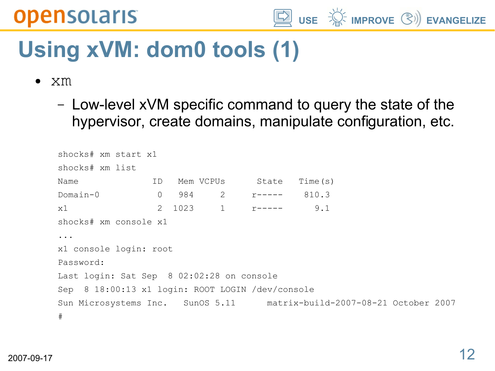

## **Using xVM: dom0 tools (1)**

- xm
	- Low-level xVM specific command to query the state of the hypervisor, create domains, manipulate configuration, etc.

```
shocks# xm start x1
shocks# xm list
Name ID Mem VCPUs State Time(s)
Domain-0 0 984 2 r----- 810.3
x1 2 1023 1 r----- 9.1
shocks# xm console x1
...
x1 console login: root
Password: 
Last login: Sat Sep 8 02:02:28 on console
Sep 8 18:00:13 x1 login: ROOT LOGIN /dev/console
Sun Microsystems Inc. SunOS 5.11 matrix-build-2007-08-21 October 2007
#
```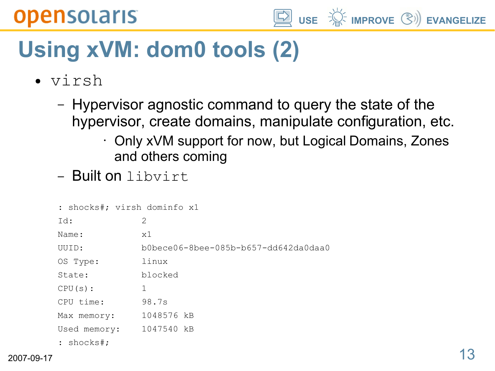

## **Using xVM: dom0 tools (2)**

- virsh
	- Hypervisor agnostic command to query the state of the hypervisor, create domains, manipulate configuration, etc.
		- Only xVM support for now, but Logical Domains, Zones and others coming
	- Built on libvirt

|               | : shocks#; virsh dominfo x1 |                                      |
|---------------|-----------------------------|--------------------------------------|
| Id:           |                             | 2                                    |
| Name:         |                             | x1                                   |
| UUID:         |                             | b0bece06-8bee-085b-b657-dd642da0daa0 |
| OS Type:      |                             | linux                                |
| State:        |                             | blocked                              |
| $CPU(s)$ :    |                             | 1                                    |
| CPU time:     |                             | 98.7s                                |
|               | Max memory:                 | 1048576 kB                           |
|               | Used memory:                | 1047540 kB                           |
| : $shocks$ #; |                             |                                      |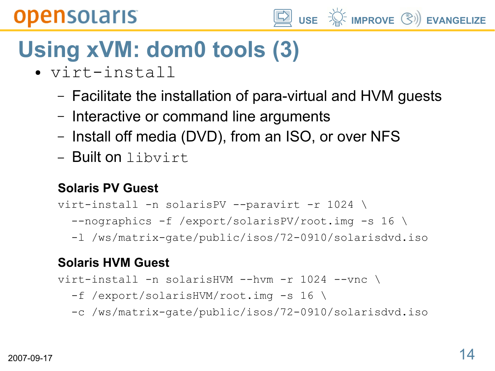

# **Using xVM: dom0 tools (3)**

- virt-install
	- Facilitate the installation of para-virtual and HVM guests
	- Interactive or command line arguments
	- Install off media (DVD), from an ISO, or over NFS
	- Built on libvirt

#### **Solaris PV Guest**

- virt-install -n solarisPV --paravirt -r 1024 \
	- --nographics -f /export/solarisPV/root.img -s 16 \
	- -l /ws/matrix-gate/public/isos/72-0910/solarisdvd.iso

#### **Solaris HVM Guest**

virt-install -n solarisHVM --hvm -r 1024 --vnc \

- -f /export/solarisHVM/root.img -s 16 \
- -c /ws/matrix-gate/public/isos/72-0910/solarisdvd.iso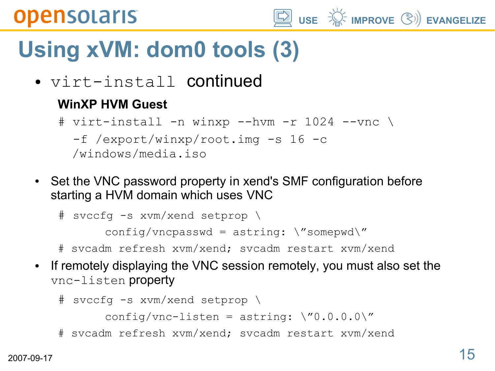

# **Using xVM: dom0 tools (3)**

● virt-install continued

#### **WinXP HVM Guest**

# virt-install -n winxp --hvm -r 1024 --vnc \ -f /export/winxp/root.img -s 16 -c /windows/media.iso

• Set the VNC password property in xend's SMF configuration before starting a HVM domain which uses VNC

```
# svccfg -s xvm/xend setprop \
```

```
config/vncpasswd = astring: \sqrt{s} somepwd\frac{m}{s}
```
- # svcadm refresh xvm/xend; svcadm restart xvm/xend
- If remotely displaying the VNC session remotely, you must also set the vnc-listen property

```
# svccfg -s xvm/xend setprop \
```

```
config/vnc-listen = astring: \sqrt{0.0.0.0}
```
# svcadm refresh xvm/xend; svcadm restart xvm/xend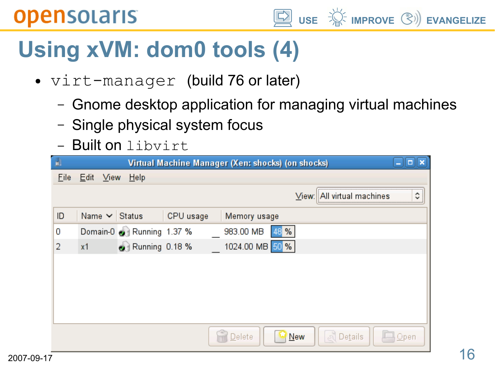

## **Using xVM: dom0 tools (4)**

- virt-manager (build 76 or later)
	- Gnome desktop application for managing virtual machines
	- Single physical system focus
	- Built on libvirt

| H.<br>Virtual Machine Manager (Xen: shocks) (on shocks) |                    |                           |           |  |                   |     |                            |      |  |
|---------------------------------------------------------|--------------------|---------------------------|-----------|--|-------------------|-----|----------------------------|------|--|
| Eile                                                    | Edit View          | <u>Help</u>               |           |  |                   |     |                            |      |  |
|                                                         |                    |                           |           |  |                   |     | View: All virtual machines | ٥    |  |
| ID                                                      | Name $\vee$ Status |                           | CPU usage |  | Memory usage      |     |                            |      |  |
| 0                                                       |                    | Domain-0 2 Running 1.37 % |           |  | 983.00 MB<br>48 % |     |                            |      |  |
| 2                                                       | x <sub>1</sub>     | Running 0.18 %            |           |  | 1024.00 MB 50 %   |     |                            |      |  |
|                                                         |                    |                           |           |  |                   |     |                            |      |  |
|                                                         |                    |                           |           |  |                   |     |                            |      |  |
|                                                         |                    |                           |           |  |                   |     |                            |      |  |
|                                                         |                    |                           |           |  |                   |     |                            |      |  |
|                                                         |                    |                           |           |  |                   |     |                            |      |  |
|                                                         |                    |                           |           |  | Delete            | New | Details                    | Open |  |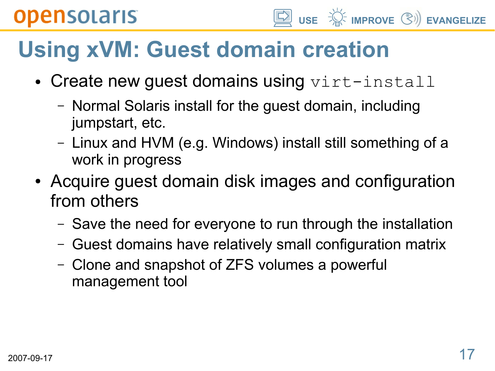# **Using xVM: Guest domain creation**

- Create new guest domains using  $virt{\text -}install$ 
	- Normal Solaris install for the guest domain, including jumpstart, etc.
	- Linux and HVM (e.g. Windows) install still something of a work in progress
- Acquire guest domain disk images and configuration from others
	- Save the need for everyone to run through the installation
	- Guest domains have relatively small configuration matrix
	- Clone and snapshot of ZFS volumes a powerful management tool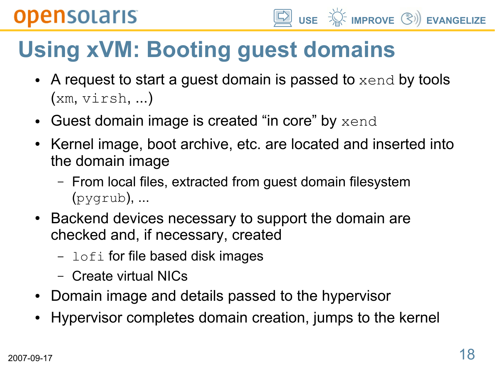# **Using xVM: Booting guest domains**

- A request to start a guest domain is passed to  $xend$  by tools (xm, virsh, ...)
- Guest domain image is created "in core" by  $xend$
- Kernel image, boot archive, etc. are located and inserted into the domain image
	- From local files, extracted from guest domain filesystem (pygrub), ...
- Backend devices necessary to support the domain are checked and, if necessary, created
	- $-$  lofi for file based disk images
	- Create virtual NICs
- Domain image and details passed to the hypervisor
- Hypervisor completes domain creation, jumps to the kernel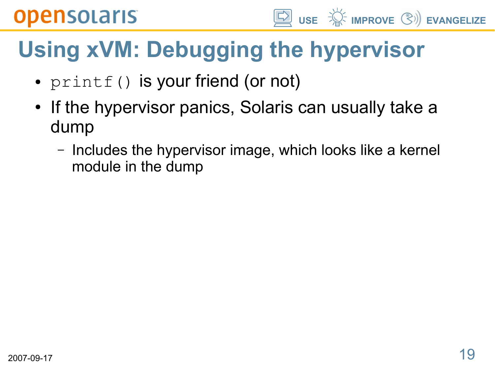**USE IMPROVE EVANGELIZE**

# **Using xVM: Debugging the hypervisor**

- printf() is your friend (or not)
- If the hypervisor panics, Solaris can usually take a dump
	- Includes the hypervisor image, which looks like a kernel module in the dump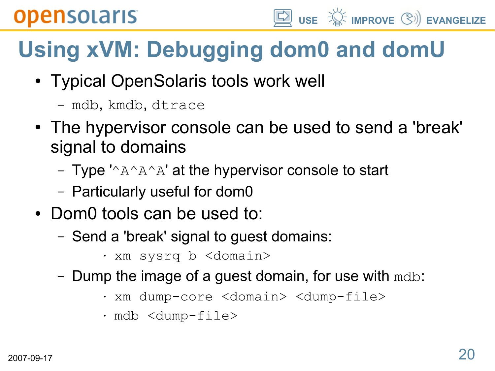# **Using xVM: Debugging dom0 and domU**

**USE IMPROVE EVANGELIZE**

- Typical OpenSolaris tools work well
	- mdb, kmdb, dtrace
- The hypervisor console can be used to send a 'break' signal to domains
	- Type  $^{\prime\land}$ A $^{\land}$ A $^{\land}$  at the hypervisor console to start
	- Particularly useful for dom0
- Dom0 tools can be used to:
	- Send a 'break' signal to guest domains:
		- xm sysrq b <domain>
	- Dump the image of a guest domain, for use with  $\text{mdb}:$ 
		- xm dump-core <domain> <dump-file>
		- mdb <dump-file>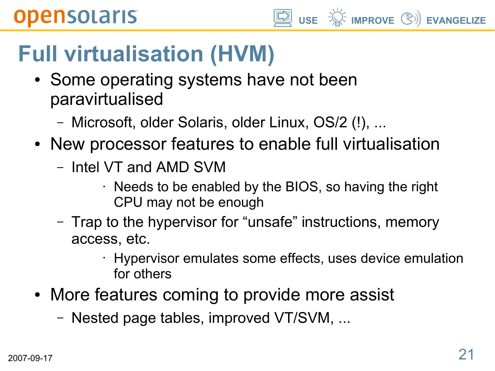# **Full virtualisation (HVM)**

- Some operating systems have not been paravirtualised
	- Microsoft, older Solaris, older Linux, OS/2 (!), ...
- New processor features to enable full virtualisation
	- Intel VT and AMD SVM
		- $\cdot$  Needs to be enabled by the BIOS, so having the right CPU may not be enough
	- Trap to the hypervisor for "unsafe" instructions, memory access, etc.
		- Hypervisor emulates some effects, uses device emulation for others
- More features coming to provide more assist
	- Nested page tables, improved VT/SVM, ...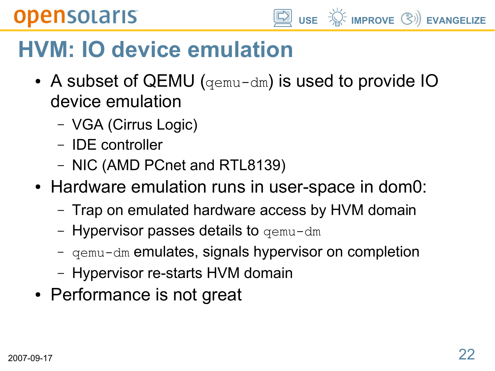

## **HVM: IO device emulation**

- A subset of QEMU ( $qemu-dm$ ) is used to provide IO device emulation
	- VGA (Cirrus Logic)
	- IDE controller
	- NIC (AMD PCnet and RTL8139)
- Hardware emulation runs in user-space in dom0:
	- Trap on emulated hardware access by HVM domain
	- **Hypervisor passes details to** gemu-dm
	- qemu-dm emulates, signals hypervisor on completion
	- Hypervisor re-starts HVM domain
- Performance is not great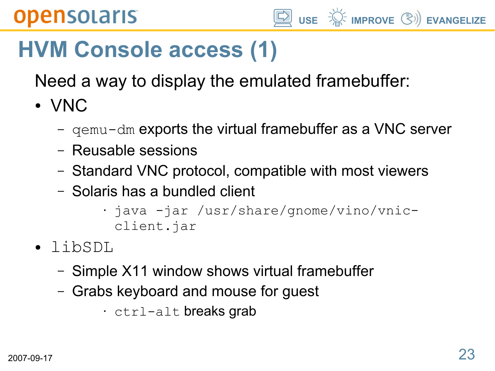

## **HVM Console access (1)**

Need a way to display the emulated framebuffer:

● VNC

- $-$  qemu-dm exports the virtual framebuffer as a VNC server
- Reusable sessions
- Standard VNC protocol, compatible with most viewers
- Solaris has a bundled client

• java -jar /usr/share/gnome/vino/vnicclient.jar

- libSDL
	- Simple X11 window shows virtual framebuffer
	- Grabs keyboard and mouse for guest
		- ctrl-alt breaks grab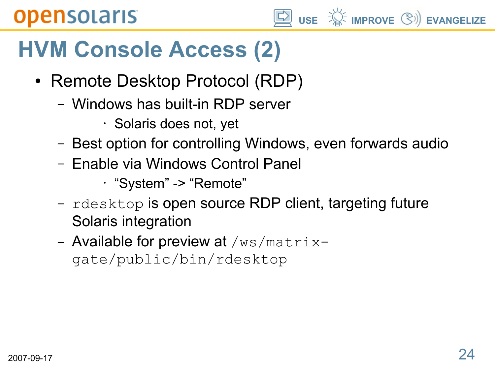## **HVM Console Access (2)**

- Remote Desktop Protocol (RDP)
	- Windows has built-in RDP server
		- Solaris does not, yet
	- Best option for controlling Windows, even forwards audio

**USE IMPROVE EVANGELIZE**

- Enable via Windows Control Panel
	- "System" -> "Remote"
- rdesktop is open source RDP client, targeting future Solaris integration
- Available for preview at  $/ws/matrix$ gate/public/bin/rdesktop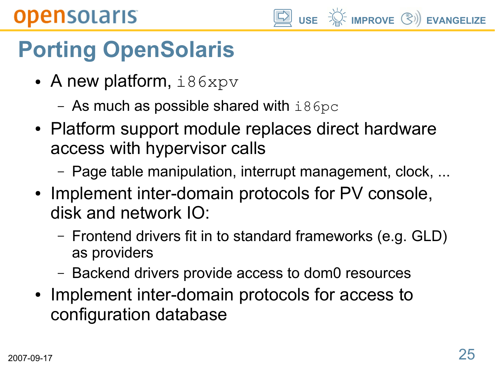

# **Porting OpenSolaris**

- A new platform,  $i86xpv$ 
	- As much as possible shared with  $i86pc$
- Platform support module replaces direct hardware access with hypervisor calls
	- Page table manipulation, interrupt management, clock, ...
- Implement inter-domain protocols for PV console, disk and network IO:
	- Frontend drivers fit in to standard frameworks (e.g. GLD) as providers
	- Backend drivers provide access to dom0 resources
- Implement inter-domain protocols for access to configuration database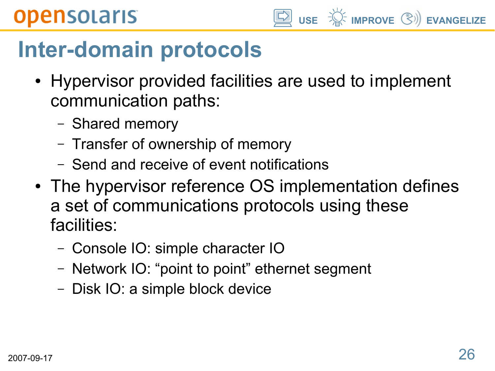**USE IMPROVE EVANGELIZE**

## **Inter-domain protocols**

- Hypervisor provided facilities are used to implement communication paths:
	- Shared memory
	- Transfer of ownership of memory
	- Send and receive of event notifications
- The hypervisor reference OS implementation defines a set of communications protocols using these facilities:
	- Console IO: simple character IO
	- Network IO: "point to point" ethernet segment
	- Disk IO: a simple block device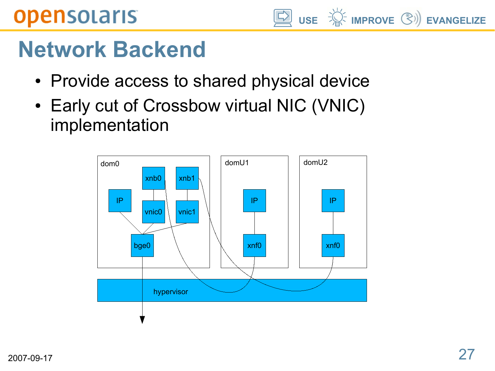## **Network Backend**

- Provide access to shared physical device
- Early cut of Crossbow virtual NIC (VNIC) implementation



**USE IMPROVE EVANGELIZE**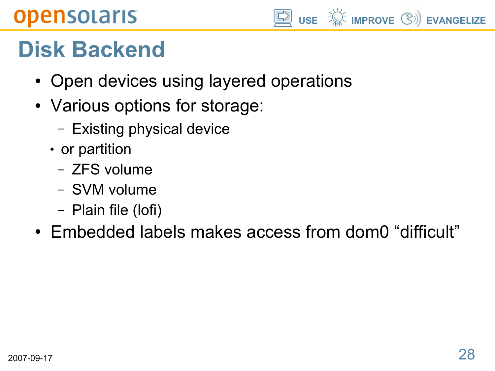

## **Disk Backend**

- Open devices using layered operations
- Various options for storage:
	- Existing physical device
	- or partition
		- ZFS volume
		- SVM volume
		- Plain file (lofi)
- Embedded labels makes access from dom0 "difficult"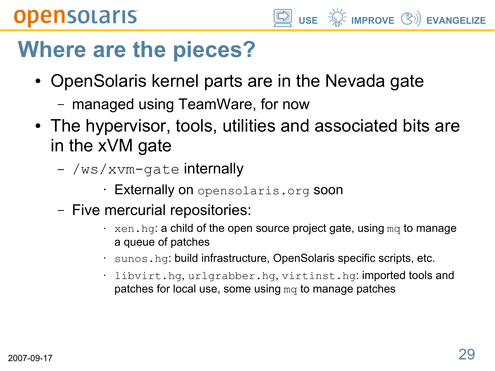#### **USE IMPROVE EVANGELIZE**

## **Where are the pieces?**

- OpenSolaris kernel parts are in the Nevada gate
	- managed using TeamWare, for now
- The hypervisor, tools, utilities and associated bits are in the xVM gate
	- /ws/xvm-gate internally
		- Externally on opensolaris.org soon
	- Five mercurial repositories:
		- $\cdot$  xen. hg: a child of the open source project gate, using mq to manage a queue of patches
		- sunos.hg: build infrastructure, OpenSolaris specific scripts, etc.
		- libvirt.hg, urlgrabber.hg, virtinst.hg: imported tools and patches for local use, some using  $mq$  to manage patches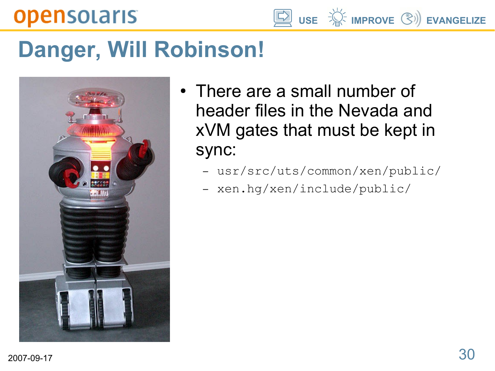**USE IMPROVE EVANGELIZE**

## **Danger, Will Robinson!**



- There are a small number of header files in the Nevada and xVM gates that must be kept in sync:
	- usr/src/uts/common/xen/public/
	- xen.hg/xen/include/public/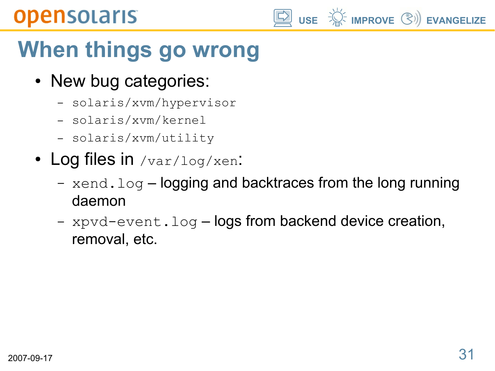# **When things go wrong**

- New bug categories:
	- solaris/xvm/hypervisor
	- solaris/xvm/kernel
	- solaris/xvm/utility
- Log files in /var/log/xen:
	- $-$  xend.log logging and backtraces from the long running daemon
	- xpvd-event.log-logs from backend device creation, removal, etc.

**USE IMPROVE EVANGELIZE**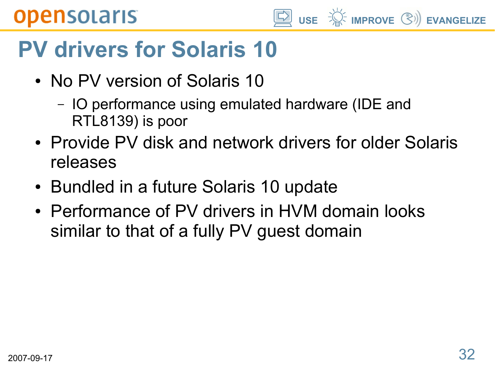# **USE IMPROVE EVANGELIZE**

# **PV drivers for Solaris 10**

- No PV version of Solaris 10
	- IO performance using emulated hardware (IDE and RTL8139) is poor
- Provide PV disk and network drivers for older Solaris releases
- Bundled in a future Solaris 10 update
- Performance of PV drivers in HVM domain looks similar to that of a fully PV guest domain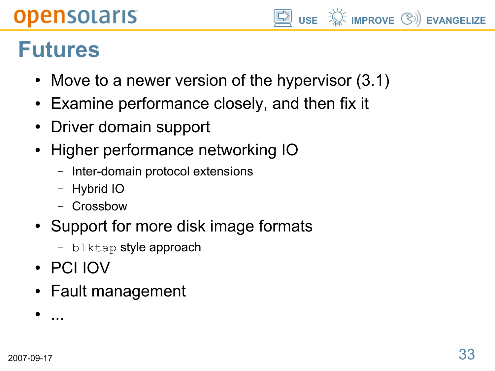#### **USE IMPROVE EVANGELIZE**

## **Futures**

- Move to a newer version of the hypervisor  $(3.1)$
- Examine performance closely, and then fix it
- Driver domain support
- Higher performance networking IO
	- Inter-domain protocol extensions
	- Hybrid IO
	- Crossbow
- Support for more disk image formats
	- blktap style approach
- PCI IOV
- Fault management

● ...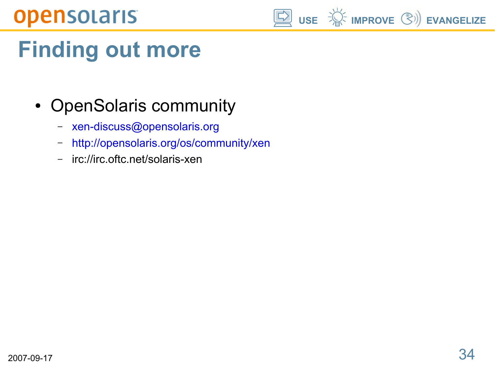

# **Finding out more**

- OpenSolaris community
	- [xen-discuss@opensolaris.org](mailto:xen-discuss@opensolaris.org)
	- <http://opensolaris.org/os/community/xen>
	- irc://irc.oftc.net/solaris-xen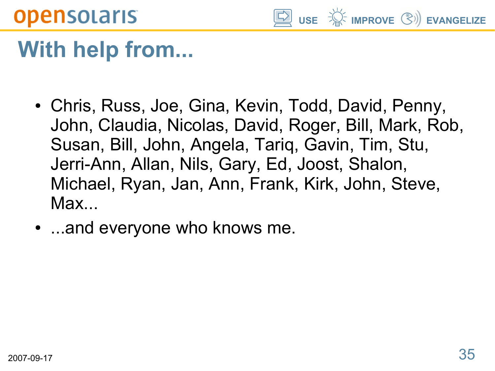

## **With help from...**

- Chris, Russ, Joe, Gina, Kevin, Todd, David, Penny, John, Claudia, Nicolas, David, Roger, Bill, Mark, Rob, Susan, Bill, John, Angela, Tariq, Gavin, Tim, Stu, Jerri-Ann, Allan, Nils, Gary, Ed, Joost, Shalon, Michael, Ryan, Jan, Ann, Frank, Kirk, John, Steve, Max...
- ...and everyone who knows me.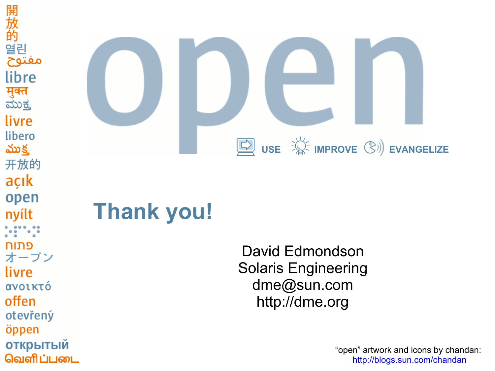



## **Thank you!**

David Edmondson Solaris Engineering dme@sun.com http://dme.org

> "open" artwork and icons by chandan: <http://blogs.sun.com/chandan>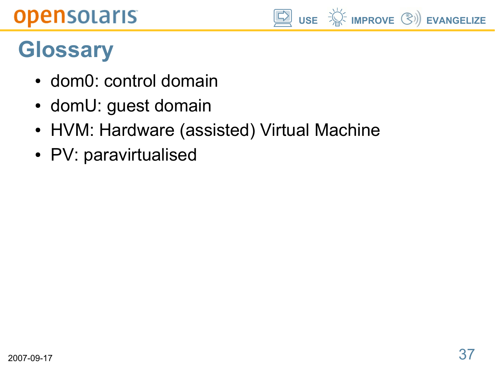

## **Glossary**

- dom0: control domain
- domU: guest domain
- HVM: Hardware (assisted) Virtual Machine
- PV: paravirtualised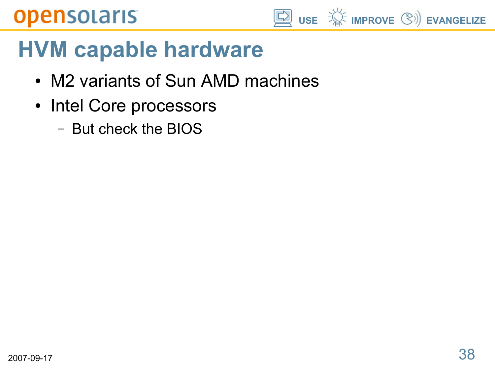

## **HVM capable hardware**

- M2 variants of Sun AMD machines
- Intel Core processors
	- But check the BIOS